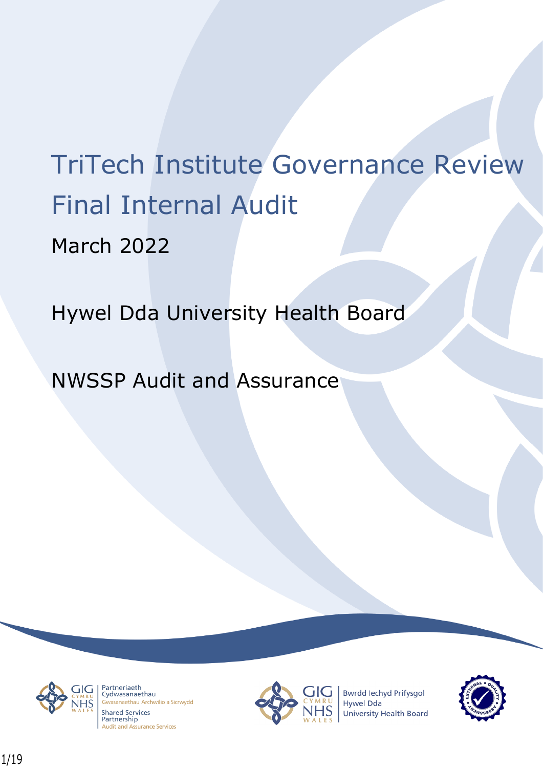# TriTech Institute Governance Review Final Internal Audit March 2022

Hywel Dda University Health Board

NWSSP Audit and Assurance



Partneriaeth rartheriaeth<br>Cydwasanaethau asanaethau Archwilio a Sicrwydd **Shared Services** Partnership **Audit and Assurance Services** 



**Bwrdd lechyd Prifysgol** Hywel Dda University Health Board

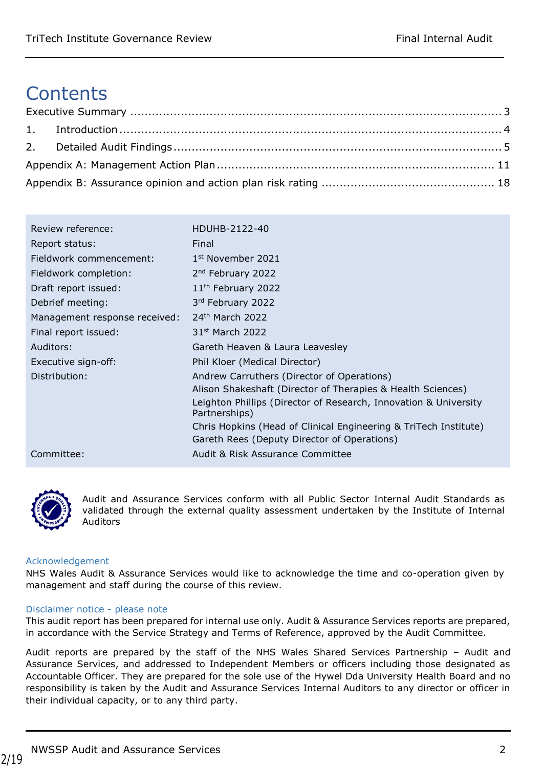# **Contents**

| Review reference:             | HDUHB-2122-40                                                                     |
|-------------------------------|-----------------------------------------------------------------------------------|
| Report status:                | Final                                                                             |
| Fieldwork commencement:       | 1 <sup>st</sup> November 2021                                                     |
| Fieldwork completion:         | 2 <sup>nd</sup> February 2022                                                     |
| Draft report issued:          | 11 <sup>th</sup> February 2022                                                    |
| Debrief meeting:              | 3rd February 2022                                                                 |
| Management response received: | $24th$ March 2022                                                                 |
| Final report issued:          | 31 <sup>st</sup> March 2022                                                       |
| Auditors:                     | Gareth Heaven & Laura Leavesley                                                   |
| Executive sign-off:           | Phil Kloer (Medical Director)                                                     |
| Distribution:                 | Andrew Carruthers (Director of Operations)                                        |
|                               | Alison Shakeshaft (Director of Therapies & Health Sciences)                       |
|                               | Leighton Phillips (Director of Research, Innovation & University<br>Partnerships) |
|                               | Chris Hopkins (Head of Clinical Engineering & TriTech Institute)                  |
|                               | Gareth Rees (Deputy Director of Operations)                                       |
| Committee:                    | Audit & Risk Assurance Committee                                                  |



Audit and Assurance Services conform with all Public Sector Internal Audit Standards as validated through the external quality assessment undertaken by the Institute of Internal Auditors

#### Acknowledgement

NHS Wales Audit & Assurance Services would like to acknowledge the time and co-operation given by management and staff during the course of this review.

#### Disclaimer notice - please note

This audit report has been prepared for internal use only. Audit & Assurance Services reports are prepared, in accordance with the Service Strategy and Terms of Reference, approved by the Audit Committee.

Audit reports are prepared by the staff of the NHS Wales Shared Services Partnership – Audit and Assurance Services, and addressed to Independent Members or officers including those designated as Accountable Officer. They are prepared for the sole use of the Hywel Dda University Health Board and no responsibility is taken by the Audit and Assurance Services Internal Auditors to any director or officer in their individual capacity, or to any third party.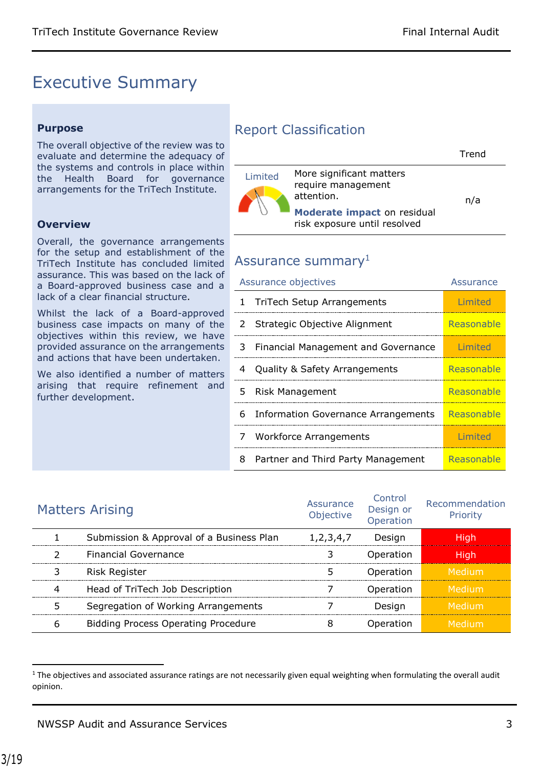## <span id="page-2-0"></span>Executive Summary

#### **Purpose**

The overall objective of the review was to evaluate and determine the adequacy of the systems and controls in place within the Health Board for governance arrangements for the TriTech Institute.

#### **Overview**

Overall, the governance arrangements for the setup and establishment of the TriTech Institute has concluded limited assurance. This was based on the lack of a Board-approved business case and a lack of a clear financial structure.

Whilst the lack of a Board-approved business case impacts on many of the objectives within this review, we have provided assurance on the arrangements and actions that have been undertaken.

We also identified a number of matters arising that require refinement and further development.

### Report Classification

|         |                                                                                                                             | Trend |
|---------|-----------------------------------------------------------------------------------------------------------------------------|-------|
| Limited | More significant matters<br>require management<br>attention.<br>Moderate impact on residual<br>risk exposure until resolved | n/a   |

### Assurance summary<sup>1</sup>

|   | Assurance objectives                       | Assurance  |
|---|--------------------------------------------|------------|
| 1 | <b>TriTech Setup Arrangements</b>          | Limited    |
| 2 | Strategic Objective Alignment              | Reasonable |
| 3 | Financial Management and Governance        | Limited    |
| 4 | Quality & Safety Arrangements              | Reasonable |
| 5 | Risk Management                            | Reasonable |
| 6 | <b>Information Governance Arrangements</b> | Reasonable |
| 7 | <b>Workforce Arrangements</b>              | Limited    |
| 8 | Partner and Third Party Management         | Reasonable |

| <b>Matters Arising</b>                     | Assurance<br>Objective | Control<br>Design or<br>Operation | Recommendation<br>Priority |
|--------------------------------------------|------------------------|-----------------------------------|----------------------------|
| Submission & Approval of a Business Plan   | 1, 2, 3, 4, 7          | Desian                            | Hiah                       |
| <b>Financial Governance</b>                |                        | Operation                         | Hiah                       |
| <b>Risk Register</b>                       |                        | Operation                         | Medium'                    |
| Head of TriTech Job Description            |                        | Operation                         | ı Medium'                  |
| Segregation of Working Arrangements        |                        | Desian                            | Medium                     |
| <b>Bidding Process Operating Procedure</b> |                        | Operation                         | Medium                     |

 $1$  The objectives and associated assurance ratings are not necessarily given equal weighting when formulating the overall audit opinion.

 $\overline{\phantom{a}}$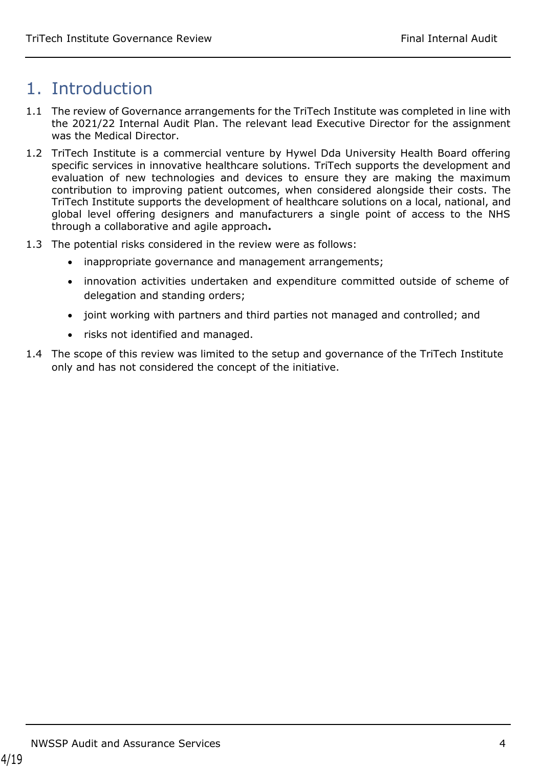## <span id="page-3-0"></span>1. Introduction

- 1.1 The review of Governance arrangements for the TriTech Institute was completed in line with the 2021/22 Internal Audit Plan. The relevant lead Executive Director for the assignment was the Medical Director.
- 1.2 TriTech Institute is a commercial venture by Hywel Dda University Health Board offering specific services in innovative healthcare solutions. TriTech supports the development and evaluation of new technologies and devices to ensure they are making the maximum contribution to improving patient outcomes, when considered alongside their costs. The TriTech Institute supports the development of healthcare solutions on a local, national, and global level offering designers and manufacturers a single point of access to the NHS through a collaborative and agile approach**.**
- 1.3 The potential risks considered in the review were as follows:
	- inappropriate governance and management arrangements;
	- innovation activities undertaken and expenditure committed outside of scheme of delegation and standing orders;
	- joint working with partners and third parties not managed and controlled; and
	- risks not identified and managed.
- <span id="page-3-1"></span>1.4 The scope of this review was limited to the setup and governance of the TriTech Institute only and has not considered the concept of the initiative.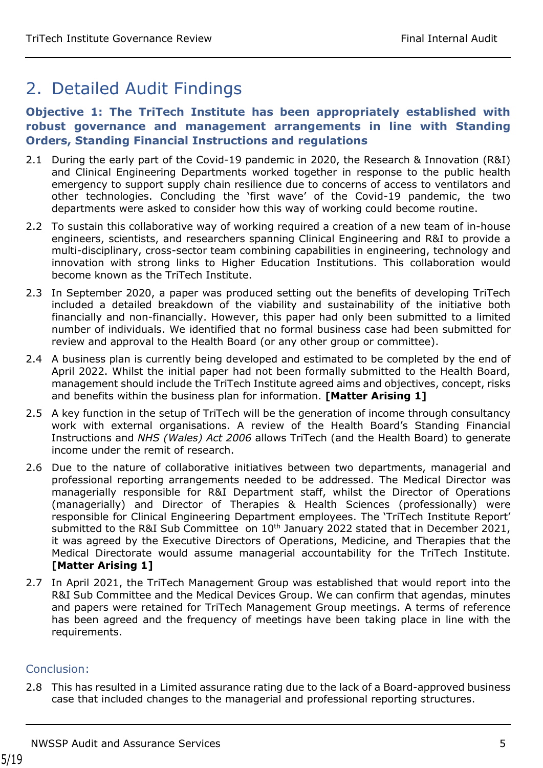## 2. Detailed Audit Findings

#### **Objective 1: The TriTech Institute has been appropriately established with robust governance and management arrangements in line with Standing Orders, Standing Financial Instructions and regulations**

- 2.1 During the early part of the Covid-19 pandemic in 2020, the Research & Innovation (R&I) and Clinical Engineering Departments worked together in response to the public health emergency to support supply chain resilience due to concerns of access to ventilators and other technologies. Concluding the 'first wave' of the Covid-19 pandemic, the two departments were asked to consider how this way of working could become routine.
- 2.2 To sustain this collaborative way of working required a creation of a new team of in-house engineers, scientists, and researchers spanning Clinical Engineering and R&I to provide a multi-disciplinary, cross-sector team combining capabilities in engineering, technology and innovation with strong links to Higher Education Institutions. This collaboration would become known as the TriTech Institute.
- 2.3 In September 2020, a paper was produced setting out the benefits of developing TriTech included a detailed breakdown of the viability and sustainability of the initiative both financially and non-financially. However, this paper had only been submitted to a limited number of individuals. We identified that no formal business case had been submitted for review and approval to the Health Board (or any other group or committee).
- 2.4 A business plan is currently being developed and estimated to be completed by the end of April 2022. Whilst the initial paper had not been formally submitted to the Health Board, management should include the TriTech Institute agreed aims and objectives, concept, risks and benefits within the business plan for information. **[Matter Arising 1]**
- 2.5 A key function in the setup of TriTech will be the generation of income through consultancy work with external organisations. A review of the Health Board's Standing Financial Instructions and *NHS (Wales) Act 2006* allows TriTech (and the Health Board) to generate income under the remit of research.
- 2.6 Due to the nature of collaborative initiatives between two departments, managerial and professional reporting arrangements needed to be addressed. The Medical Director was managerially responsible for R&I Department staff, whilst the Director of Operations (managerially) and Director of Therapies & Health Sciences (professionally) were responsible for Clinical Engineering Department employees. The 'TriTech Institute Report' submitted to the R&I Sub Committee on  $10<sup>th</sup>$  January 2022 stated that in December 2021, it was agreed by the Executive Directors of Operations, Medicine, and Therapies that the Medical Directorate would assume managerial accountability for the TriTech Institute. **[Matter Arising 1]**
- 2.7 In April 2021, the TriTech Management Group was established that would report into the R&I Sub Committee and the Medical Devices Group. We can confirm that agendas, minutes and papers were retained for TriTech Management Group meetings. A terms of reference has been agreed and the frequency of meetings have been taking place in line with the requirements.

#### Conclusion:

2.8 This has resulted in a Limited assurance rating due to the lack of a Board-approved business case that included changes to the managerial and professional reporting structures.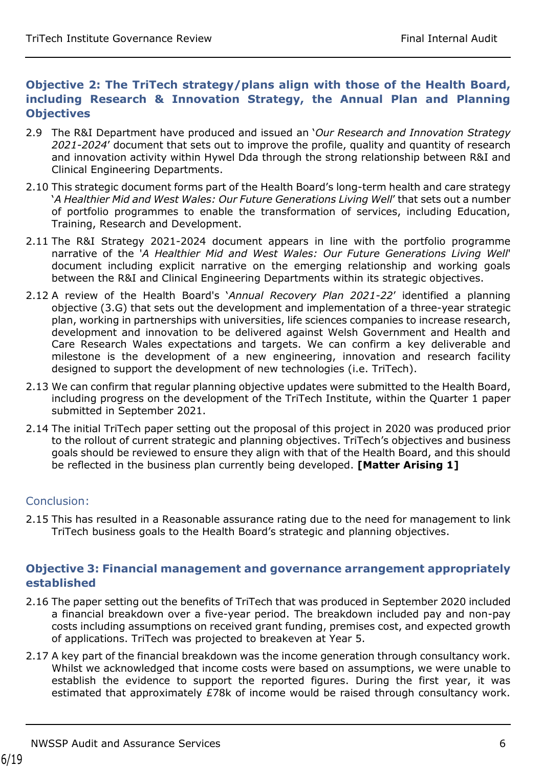#### **Objective 2: The TriTech strategy/plans align with those of the Health Board, including Research & Innovation Strategy, the Annual Plan and Planning Objectives**

- 2.9 The R&I Department have produced and issued an '*Our Research and Innovation Strategy 2021-2024*' document that sets out to improve the profile, quality and quantity of research and innovation activity within Hywel Dda through the strong relationship between R&I and Clinical Engineering Departments.
- 2.10 This strategic document forms part of the Health Board's long-term health and care strategy '*A Healthier Mid and West Wales: Our Future Generations Living Well*' that sets out a number of portfolio programmes to enable the transformation of services, including Education, Training, Research and Development.
- 2.11 The R&I Strategy 2021-2024 document appears in line with the portfolio programme narrative of the '*A Healthier Mid and West Wales: Our Future Generations Living Well*' document including explicit narrative on the emerging relationship and working goals between the R&I and Clinical Engineering Departments within its strategic objectives.
- 2.12 A review of the Health Board's '*Annual Recovery Plan 2021-22*' identified a planning objective (3.G) that sets out the development and implementation of a three-year strategic plan, working in partnerships with universities, life sciences companies to increase research, development and innovation to be delivered against Welsh Government and Health and Care Research Wales expectations and targets. We can confirm a key deliverable and milestone is the development of a new engineering, innovation and research facility designed to support the development of new technologies (i.e. TriTech).
- 2.13 We can confirm that regular planning objective updates were submitted to the Health Board, including progress on the development of the TriTech Institute, within the Quarter 1 paper submitted in September 2021.
- 2.14 The initial TriTech paper setting out the proposal of this project in 2020 was produced prior to the rollout of current strategic and planning objectives. TriTech's objectives and business goals should be reviewed to ensure they align with that of the Health Board, and this should be reflected in the business plan currently being developed. **[Matter Arising 1]**

#### Conclusion:

2.15 This has resulted in a Reasonable assurance rating due to the need for management to link TriTech business goals to the Health Board's strategic and planning objectives.

#### **Objective 3: Financial management and governance arrangement appropriately established**

- 2.16 The paper setting out the benefits of TriTech that was produced in September 2020 included a financial breakdown over a five-year period. The breakdown included pay and non-pay costs including assumptions on received grant funding, premises cost, and expected growth of applications. TriTech was projected to breakeven at Year 5.
- 2.17 A key part of the financial breakdown was the income generation through consultancy work. Whilst we acknowledged that income costs were based on assumptions, we were unable to establish the evidence to support the reported figures. During the first year, it was estimated that approximately £78k of income would be raised through consultancy work.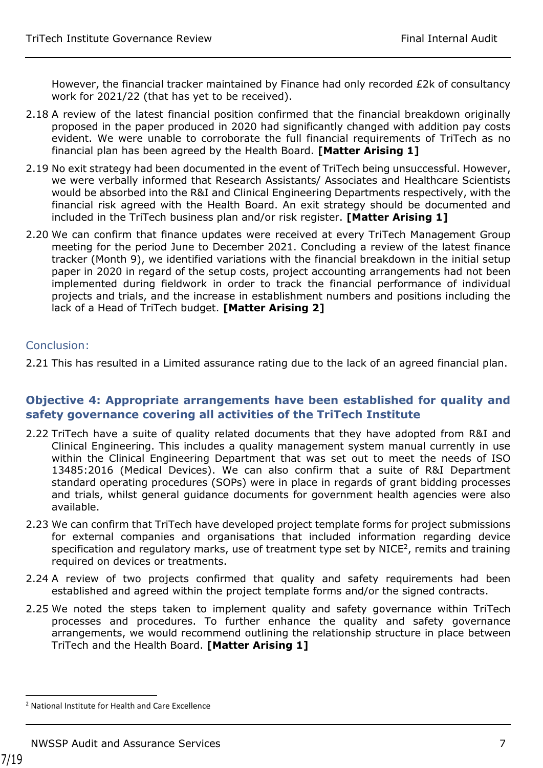However, the financial tracker maintained by Finance had only recorded £2k of consultancy work for 2021/22 (that has yet to be received).

- 2.18 A review of the latest financial position confirmed that the financial breakdown originally proposed in the paper produced in 2020 had significantly changed with addition pay costs evident. We were unable to corroborate the full financial requirements of TriTech as no financial plan has been agreed by the Health Board. **[Matter Arising 1]**
- 2.19 No exit strategy had been documented in the event of TriTech being unsuccessful. However, we were verbally informed that Research Assistants/ Associates and Healthcare Scientists would be absorbed into the R&I and Clinical Engineering Departments respectively, with the financial risk agreed with the Health Board. An exit strategy should be documented and included in the TriTech business plan and/or risk register. **[Matter Arising 1]**
- 2.20 We can confirm that finance updates were received at every TriTech Management Group meeting for the period June to December 2021. Concluding a review of the latest finance tracker (Month 9), we identified variations with the financial breakdown in the initial setup paper in 2020 in regard of the setup costs, project accounting arrangements had not been implemented during fieldwork in order to track the financial performance of individual projects and trials, and the increase in establishment numbers and positions including the lack of a Head of TriTech budget. **[Matter Arising 2]**

#### Conclusion:

2.21 This has resulted in a Limited assurance rating due to the lack of an agreed financial plan.

#### **Objective 4: Appropriate arrangements have been established for quality and safety governance covering all activities of the TriTech Institute**

- 2.22 TriTech have a suite of quality related documents that they have adopted from R&I and Clinical Engineering. This includes a quality management system manual currently in use within the Clinical Engineering Department that was set out to meet the needs of ISO 13485:2016 (Medical Devices). We can also confirm that a suite of R&I Department standard operating procedures (SOPs) were in place in regards of grant bidding processes and trials, whilst general guidance documents for government health agencies were also available.
- 2.23 We can confirm that TriTech have developed project template forms for project submissions for external companies and organisations that included information regarding device specification and regulatory marks, use of treatment type set by NICE $^2$ , remits and training required on devices or treatments.
- 2.24 A review of two projects confirmed that quality and safety requirements had been established and agreed within the project template forms and/or the signed contracts.
- 2.25 We noted the steps taken to implement quality and safety governance within TriTech processes and procedures. To further enhance the quality and safety governance arrangements, we would recommend outlining the relationship structure in place between TriTech and the Health Board. **[Matter Arising 1]**

 $\overline{a}$ 

<sup>2</sup> National Institute for Health and Care Excellence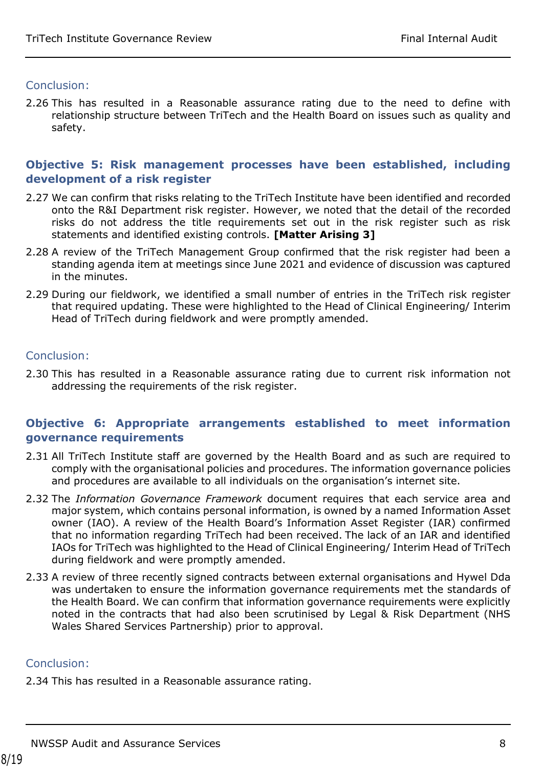#### Conclusion:

2.26 This has resulted in a Reasonable assurance rating due to the need to define with relationship structure between TriTech and the Health Board on issues such as quality and safety.

#### **Objective 5: Risk management processes have been established, including development of a risk register**

- 2.27 We can confirm that risks relating to the TriTech Institute have been identified and recorded onto the R&I Department risk register. However, we noted that the detail of the recorded risks do not address the title requirements set out in the risk register such as risk statements and identified existing controls. **[Matter Arising 3]**
- 2.28 A review of the TriTech Management Group confirmed that the risk register had been a standing agenda item at meetings since June 2021 and evidence of discussion was captured in the minutes.
- 2.29 During our fieldwork, we identified a small number of entries in the TriTech risk register that required updating. These were highlighted to the Head of Clinical Engineering/ Interim Head of TriTech during fieldwork and were promptly amended.

#### Conclusion:

2.30 This has resulted in a Reasonable assurance rating due to current risk information not addressing the requirements of the risk register.

#### **Objective 6: Appropriate arrangements established to meet information governance requirements**

- 2.31 All TriTech Institute staff are governed by the Health Board and as such are required to comply with the organisational policies and procedures. The information governance policies and procedures are available to all individuals on the organisation's internet site.
- 2.32 The *Information Governance Framework* document requires that each service area and major system, which contains personal information, is owned by a named Information Asset owner (IAO). A review of the Health Board's Information Asset Register (IAR) confirmed that no information regarding TriTech had been received. The lack of an IAR and identified IAOs for TriTech was highlighted to the Head of Clinical Engineering/ Interim Head of TriTech during fieldwork and were promptly amended.
- 2.33 A review of three recently signed contracts between external organisations and Hywel Dda was undertaken to ensure the information governance requirements met the standards of the Health Board. We can confirm that information governance requirements were explicitly noted in the contracts that had also been scrutinised by Legal & Risk Department (NHS Wales Shared Services Partnership) prior to approval.

#### Conclusion:

2.34 This has resulted in a Reasonable assurance rating.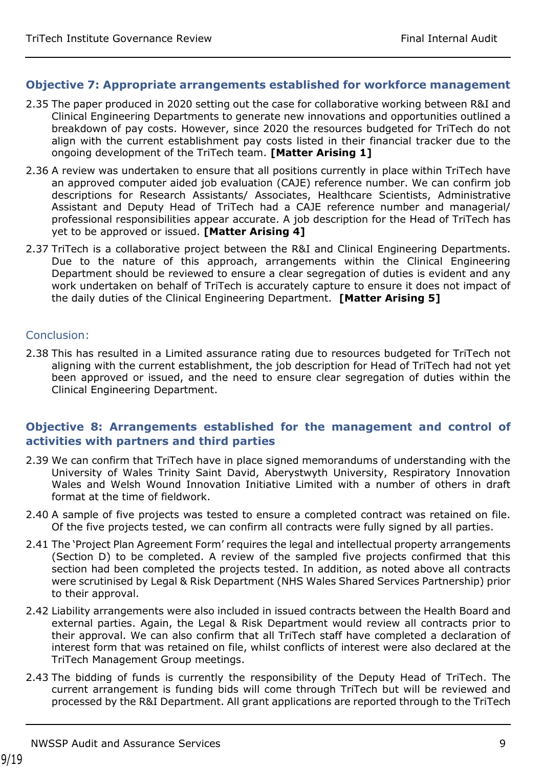#### **Objective 7: Appropriate arrangements established for workforce management**

- 2.35 The paper produced in 2020 setting out the case for collaborative working between R&I and Clinical Engineering Departments to generate new innovations and opportunities outlined a breakdown of pay costs. However, since 2020 the resources budgeted for TriTech do not align with the current establishment pay costs listed in their financial tracker due to the ongoing development of the TriTech team. **[Matter Arising 1]**
- 2.36 A review was undertaken to ensure that all positions currently in place within TriTech have an approved computer aided job evaluation (CAJE) reference number. We can confirm job descriptions for Research Assistants/ Associates, Healthcare Scientists, Administrative Assistant and Deputy Head of TriTech had a CAJE reference number and managerial/ professional responsibilities appear accurate. A job description for the Head of TriTech has yet to be approved or issued. **[Matter Arising 4]**
- 2.37 TriTech is a collaborative project between the R&I and Clinical Engineering Departments. Due to the nature of this approach, arrangements within the Clinical Engineering Department should be reviewed to ensure a clear segregation of duties is evident and any work undertaken on behalf of TriTech is accurately capture to ensure it does not impact of the daily duties of the Clinical Engineering Department. **[Matter Arising 5]**

#### Conclusion:

2.38 This has resulted in a Limited assurance rating due to resources budgeted for TriTech not aligning with the current establishment, the job description for Head of TriTech had not yet been approved or issued, and the need to ensure clear segregation of duties within the Clinical Engineering Department.

#### **Objective 8: Arrangements established for the management and control of activities with partners and third parties**

- 2.39 We can confirm that TriTech have in place signed memorandums of understanding with the University of Wales Trinity Saint David, Aberystwyth University, Respiratory Innovation Wales and Welsh Wound Innovation Initiative Limited with a number of others in draft format at the time of fieldwork.
- 2.40 A sample of five projects was tested to ensure a completed contract was retained on file. Of the five projects tested, we can confirm all contracts were fully signed by all parties.
- 2.41 The 'Project Plan Agreement Form' requires the legal and intellectual property arrangements (Section D) to be completed. A review of the sampled five projects confirmed that this section had been completed the projects tested. In addition, as noted above all contracts were scrutinised by Legal & Risk Department (NHS Wales Shared Services Partnership) prior to their approval.
- 2.42 Liability arrangements were also included in issued contracts between the Health Board and external parties. Again, the Legal & Risk Department would review all contracts prior to their approval. We can also confirm that all TriTech staff have completed a declaration of interest form that was retained on file, whilst conflicts of interest were also declared at the TriTech Management Group meetings.
- 2.43 The bidding of funds is currently the responsibility of the Deputy Head of TriTech. The current arrangement is funding bids will come through TriTech but will be reviewed and processed by the R&I Department. All grant applications are reported through to the TriTech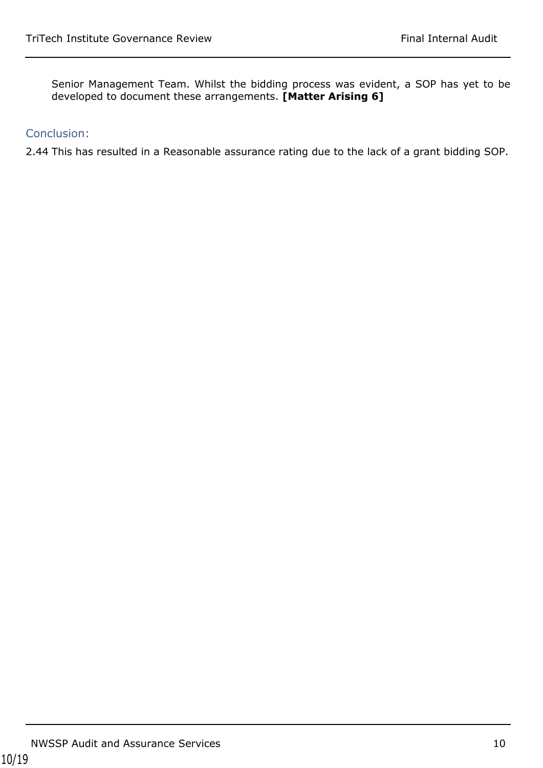Senior Management Team. Whilst the bidding process was evident, a SOP has yet to be developed to document these arrangements. **[Matter Arising 6]**

#### Conclusion:

2.44 This has resulted in a Reasonable assurance rating due to the lack of a grant bidding SOP.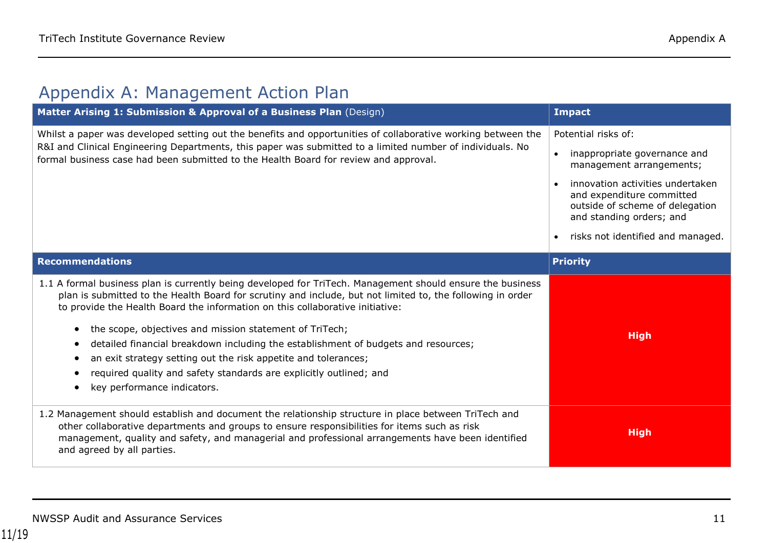# Appendix A: Management Action Plan

<span id="page-10-0"></span>

| Matter Arising 1: Submission & Approval of a Business Plan (Design)                                                                                                                                                                                                                                                                                                                                                                                                                                                                                                                                                               | <b>Impact</b>                                                                                                                |
|-----------------------------------------------------------------------------------------------------------------------------------------------------------------------------------------------------------------------------------------------------------------------------------------------------------------------------------------------------------------------------------------------------------------------------------------------------------------------------------------------------------------------------------------------------------------------------------------------------------------------------------|------------------------------------------------------------------------------------------------------------------------------|
| Whilst a paper was developed setting out the benefits and opportunities of collaborative working between the                                                                                                                                                                                                                                                                                                                                                                                                                                                                                                                      | Potential risks of:                                                                                                          |
| R&I and Clinical Engineering Departments, this paper was submitted to a limited number of individuals. No<br>formal business case had been submitted to the Health Board for review and approval.                                                                                                                                                                                                                                                                                                                                                                                                                                 | inappropriate governance and<br>$\bullet$<br>management arrangements;                                                        |
|                                                                                                                                                                                                                                                                                                                                                                                                                                                                                                                                                                                                                                   | innovation activities undertaken<br>and expenditure committed<br>outside of scheme of delegation<br>and standing orders; and |
|                                                                                                                                                                                                                                                                                                                                                                                                                                                                                                                                                                                                                                   | risks not identified and managed.                                                                                            |
| <b>Recommendations</b>                                                                                                                                                                                                                                                                                                                                                                                                                                                                                                                                                                                                            | <b>Priority</b>                                                                                                              |
| 1.1 A formal business plan is currently being developed for TriTech. Management should ensure the business<br>plan is submitted to the Health Board for scrutiny and include, but not limited to, the following in order<br>to provide the Health Board the information on this collaborative initiative:<br>the scope, objectives and mission statement of TriTech;<br>detailed financial breakdown including the establishment of budgets and resources;<br>an exit strategy setting out the risk appetite and tolerances;<br>required quality and safety standards are explicitly outlined; and<br>key performance indicators. | <b>High</b>                                                                                                                  |
| 1.2 Management should establish and document the relationship structure in place between TriTech and<br>other collaborative departments and groups to ensure responsibilities for items such as risk<br>management, quality and safety, and managerial and professional arrangements have been identified<br>and agreed by all parties.                                                                                                                                                                                                                                                                                           | <b>High</b>                                                                                                                  |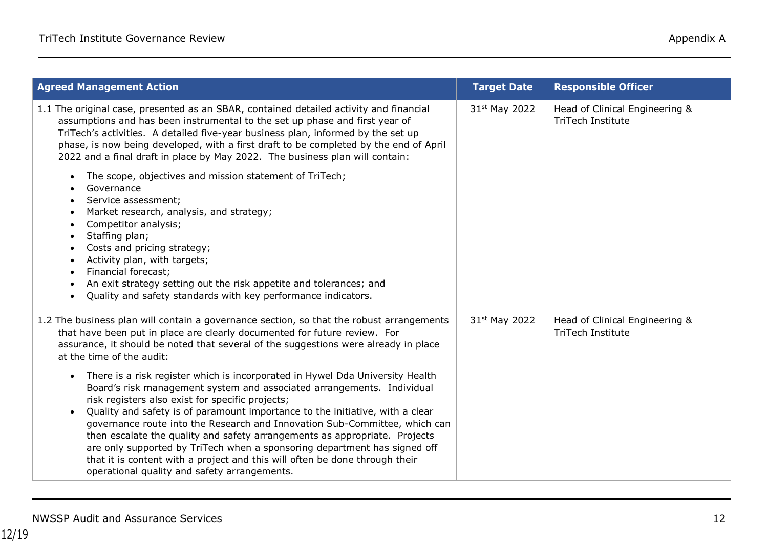| <b>Agreed Management Action</b>                                                                                                                                                                                                                                                                                                                                                                                                                                                                                                                                                                                                                                                                                                                                                                                                                                                                                                                                   | <b>Target Date</b> | <b>Responsible Officer</b>                                 |
|-------------------------------------------------------------------------------------------------------------------------------------------------------------------------------------------------------------------------------------------------------------------------------------------------------------------------------------------------------------------------------------------------------------------------------------------------------------------------------------------------------------------------------------------------------------------------------------------------------------------------------------------------------------------------------------------------------------------------------------------------------------------------------------------------------------------------------------------------------------------------------------------------------------------------------------------------------------------|--------------------|------------------------------------------------------------|
| 1.1 The original case, presented as an SBAR, contained detailed activity and financial<br>assumptions and has been instrumental to the set up phase and first year of<br>TriTech's activities. A detailed five-year business plan, informed by the set up<br>phase, is now being developed, with a first draft to be completed by the end of April<br>2022 and a final draft in place by May 2022. The business plan will contain:<br>The scope, objectives and mission statement of TriTech;<br>Governance<br>Service assessment;<br>Market research, analysis, and strategy;<br>Competitor analysis;<br>Staffing plan;<br>$\bullet$<br>Costs and pricing strategy;<br>Activity plan, with targets;<br>Financial forecast;<br>An exit strategy setting out the risk appetite and tolerances; and<br>Quality and safety standards with key performance indicators.<br>$\bullet$                                                                                   | 31st May 2022      | Head of Clinical Engineering &<br><b>TriTech Institute</b> |
| 1.2 The business plan will contain a governance section, so that the robust arrangements<br>that have been put in place are clearly documented for future review. For<br>assurance, it should be noted that several of the suggestions were already in place<br>at the time of the audit:<br>There is a risk register which is incorporated in Hywel Dda University Health<br>Board's risk management system and associated arrangements. Individual<br>risk registers also exist for specific projects;<br>Quality and safety is of paramount importance to the initiative, with a clear<br>governance route into the Research and Innovation Sub-Committee, which can<br>then escalate the quality and safety arrangements as appropriate. Projects<br>are only supported by TriTech when a sponsoring department has signed off<br>that it is content with a project and this will often be done through their<br>operational quality and safety arrangements. | 31st May 2022      | Head of Clinical Engineering &<br><b>TriTech Institute</b> |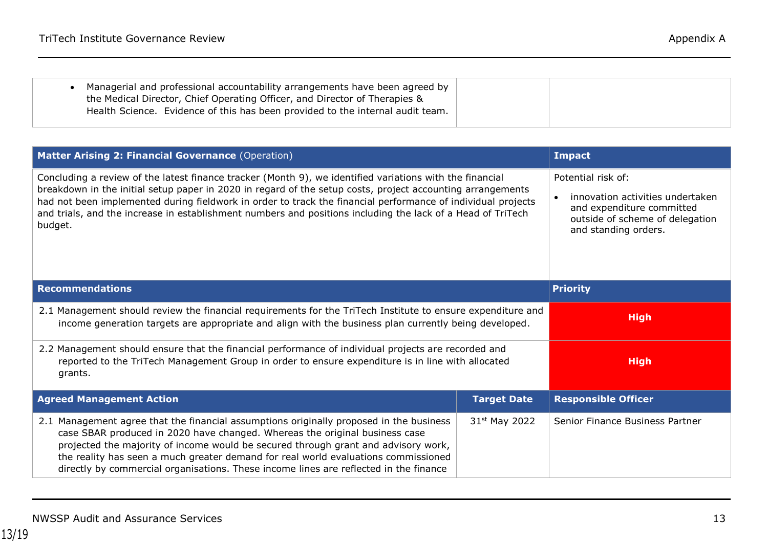| Managerial and professional accountability arrangements have been agreed by<br>the Medical Director, Chief Operating Officer, and Director of Therapies &<br>Health Science. Evidence of this has been provided to the internal audit team. |  |
|---------------------------------------------------------------------------------------------------------------------------------------------------------------------------------------------------------------------------------------------|--|
|                                                                                                                                                                                                                                             |  |

| Matter Arising 2: Financial Governance (Operation)                                                                                                                                                                                                                                                                                                                                                                                                               |                           | <b>Impact</b>                                                                                                                                  |
|------------------------------------------------------------------------------------------------------------------------------------------------------------------------------------------------------------------------------------------------------------------------------------------------------------------------------------------------------------------------------------------------------------------------------------------------------------------|---------------------------|------------------------------------------------------------------------------------------------------------------------------------------------|
| Concluding a review of the latest finance tracker (Month 9), we identified variations with the financial<br>breakdown in the initial setup paper in 2020 in regard of the setup costs, project accounting arrangements<br>had not been implemented during fieldwork in order to track the financial performance of individual projects<br>and trials, and the increase in establishment numbers and positions including the lack of a Head of TriTech<br>budget. |                           | Potential risk of:<br>innovation activities undertaken<br>and expenditure committed<br>outside of scheme of delegation<br>and standing orders. |
| <b>Recommendations</b>                                                                                                                                                                                                                                                                                                                                                                                                                                           |                           | <b>Priority</b>                                                                                                                                |
| 2.1 Management should review the financial requirements for the TriTech Institute to ensure expenditure and<br>income generation targets are appropriate and align with the business plan currently being developed.                                                                                                                                                                                                                                             |                           | <b>High</b>                                                                                                                                    |
| 2.2 Management should ensure that the financial performance of individual projects are recorded and<br>reported to the TriTech Management Group in order to ensure expenditure is in line with allocated<br>grants.                                                                                                                                                                                                                                              |                           | <b>High</b>                                                                                                                                    |
| <b>Agreed Management Action</b>                                                                                                                                                                                                                                                                                                                                                                                                                                  | <b>Target Date</b>        | <b>Responsible Officer</b>                                                                                                                     |
| 2.1 Management agree that the financial assumptions originally proposed in the business<br>case SBAR produced in 2020 have changed. Whereas the original business case<br>projected the majority of income would be secured through grant and advisory work,<br>the reality has seen a much greater demand for real world evaluations commissioned<br>directly by commercial organisations. These income lines are reflected in the finance                      | 31 <sup>st</sup> May 2022 | Senior Finance Business Partner                                                                                                                |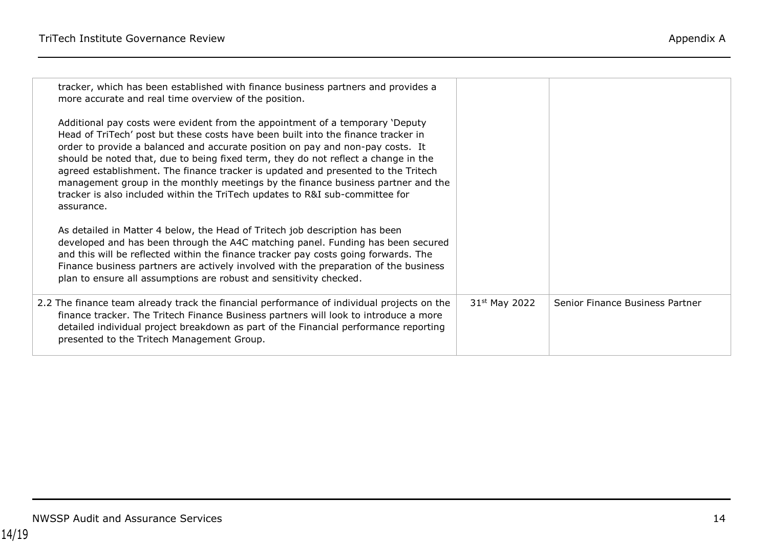| tracker, which has been established with finance business partners and provides a<br>more accurate and real time overview of the position.                                                                                                                                                                                                                                                                                                                                                                                                                                                                        |                           |                                 |
|-------------------------------------------------------------------------------------------------------------------------------------------------------------------------------------------------------------------------------------------------------------------------------------------------------------------------------------------------------------------------------------------------------------------------------------------------------------------------------------------------------------------------------------------------------------------------------------------------------------------|---------------------------|---------------------------------|
| Additional pay costs were evident from the appointment of a temporary 'Deputy<br>Head of TriTech' post but these costs have been built into the finance tracker in<br>order to provide a balanced and accurate position on pay and non-pay costs. It<br>should be noted that, due to being fixed term, they do not reflect a change in the<br>agreed establishment. The finance tracker is updated and presented to the Tritech<br>management group in the monthly meetings by the finance business partner and the<br>tracker is also included within the TriTech updates to R&I sub-committee for<br>assurance. |                           |                                 |
| As detailed in Matter 4 below, the Head of Tritech job description has been<br>developed and has been through the A4C matching panel. Funding has been secured<br>and this will be reflected within the finance tracker pay costs going forwards. The<br>Finance business partners are actively involved with the preparation of the business<br>plan to ensure all assumptions are robust and sensitivity checked.                                                                                                                                                                                               |                           |                                 |
| 2.2 The finance team already track the financial performance of individual projects on the<br>finance tracker. The Tritech Finance Business partners will look to introduce a more<br>detailed individual project breakdown as part of the Financial performance reporting<br>presented to the Tritech Management Group.                                                                                                                                                                                                                                                                                          | 31 <sup>st</sup> May 2022 | Senior Finance Business Partner |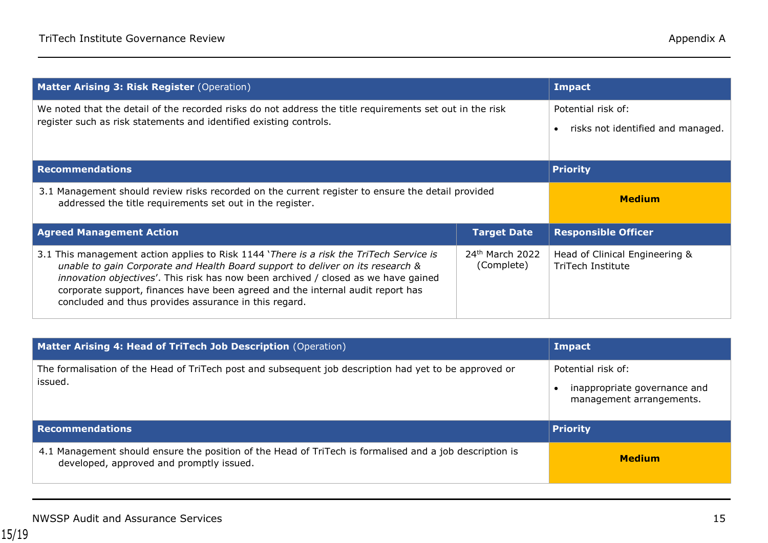| <b>Matter Arising 3: Risk Register (Operation)</b>                                                                                                                             |                    | <b>Impact</b>                     |
|--------------------------------------------------------------------------------------------------------------------------------------------------------------------------------|--------------------|-----------------------------------|
| We noted that the detail of the recorded risks do not address the title requirements set out in the risk<br>register such as risk statements and identified existing controls. |                    | Potential risk of:                |
|                                                                                                                                                                                |                    | risks not identified and managed. |
|                                                                                                                                                                                |                    |                                   |
| <b>Recommendations</b>                                                                                                                                                         |                    | <b>Priority</b>                   |
| 3.1 Management should review risks recorded on the current register to ensure the detail provided<br>addressed the title requirements set out in the register.                 |                    | <b>Medium</b>                     |
|                                                                                                                                                                                |                    |                                   |
| <b>Agreed Management Action</b>                                                                                                                                                | <b>Target Date</b> | <b>Responsible Officer</b>        |

| Matter Arising 4: Head of TriTech Job Description (Operation)                                                                                       | Impact                                                                         |
|-----------------------------------------------------------------------------------------------------------------------------------------------------|--------------------------------------------------------------------------------|
| The formalisation of the Head of TriTech post and subsequent job description had yet to be approved or<br>issued.                                   | Potential risk of:<br>inappropriate governance and<br>management arrangements. |
| <b>Recommendations</b>                                                                                                                              | <b>Priority</b>                                                                |
| 4.1 Management should ensure the position of the Head of TriTech is formalised and a job description is<br>developed, approved and promptly issued. | <b>Medium</b>                                                                  |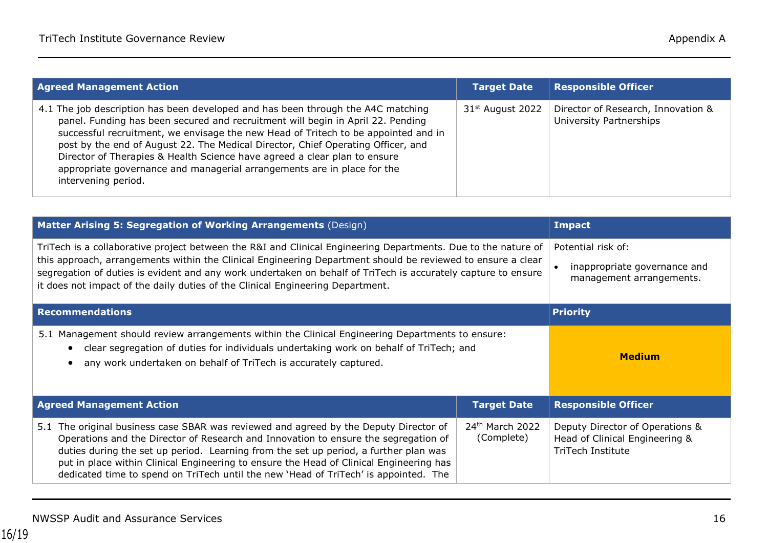| <b>Agreed Management Action</b>                                                                                                                                                                                                                                                                                                                                                                                                                                                                                              | <b>Target Date</b>           | <b>Responsible Officer</b>                                    |
|------------------------------------------------------------------------------------------------------------------------------------------------------------------------------------------------------------------------------------------------------------------------------------------------------------------------------------------------------------------------------------------------------------------------------------------------------------------------------------------------------------------------------|------------------------------|---------------------------------------------------------------|
| 4.1 The job description has been developed and has been through the A4C matching<br>panel. Funding has been secured and recruitment will begin in April 22. Pending<br>successful recruitment, we envisage the new Head of Tritech to be appointed and in<br>post by the end of August 22. The Medical Director, Chief Operating Officer, and<br>Director of Therapies & Health Science have agreed a clear plan to ensure<br>appropriate governance and managerial arrangements are in place for the<br>intervening period. | 31 <sup>st</sup> August 2022 | Director of Research, Innovation &<br>University Partnerships |

| Matter Arising 5: Segregation of Working Arrangements (Design)                                                                                                                                                                                                                                                                                                                                                                  | <b>Impact</b>      |                                                                                |
|---------------------------------------------------------------------------------------------------------------------------------------------------------------------------------------------------------------------------------------------------------------------------------------------------------------------------------------------------------------------------------------------------------------------------------|--------------------|--------------------------------------------------------------------------------|
| TriTech is a collaborative project between the R&I and Clinical Engineering Departments. Due to the nature of<br>this approach, arrangements within the Clinical Engineering Department should be reviewed to ensure a clear<br>segregation of duties is evident and any work undertaken on behalf of TriTech is accurately capture to ensure<br>it does not impact of the daily duties of the Clinical Engineering Department. |                    | Potential risk of:<br>inappropriate governance and<br>management arrangements. |
| <b>Recommendations</b>                                                                                                                                                                                                                                                                                                                                                                                                          | <b>Priority</b>    |                                                                                |
| 5.1 Management should review arrangements within the Clinical Engineering Departments to ensure:<br>clear segregation of duties for individuals undertaking work on behalf of TriTech; and<br>any work undertaken on behalf of TriTech is accurately captured.                                                                                                                                                                  |                    | <b>Medium</b>                                                                  |
| <b>Agreed Management Action</b>                                                                                                                                                                                                                                                                                                                                                                                                 | <b>Target Date</b> | <b>Responsible Officer</b>                                                     |
| 5.1 The original business case SBAR was reviewed and agreed by the Deputy Director of                                                                                                                                                                                                                                                                                                                                           |                    |                                                                                |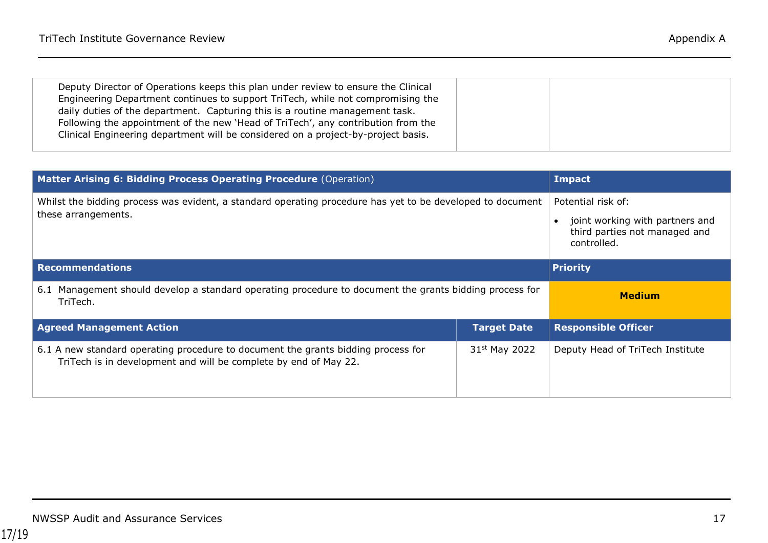| Deputy Director of Operations keeps this plan under review to ensure the Clinical<br>Engineering Department continues to support TriTech, while not compromising the<br>daily duties of the department. Capturing this is a routine management task.<br>Following the appointment of the new 'Head of TriTech', any contribution from the<br>Clinical Engineering department will be considered on a project-by-project basis. |  |  |
|--------------------------------------------------------------------------------------------------------------------------------------------------------------------------------------------------------------------------------------------------------------------------------------------------------------------------------------------------------------------------------------------------------------------------------|--|--|
|                                                                                                                                                                                                                                                                                                                                                                                                                                |  |  |

| Matter Arising 6: Bidding Process Operating Procedure (Operation)                                                                                     | <b>Impact</b>      |                                                                                                       |
|-------------------------------------------------------------------------------------------------------------------------------------------------------|--------------------|-------------------------------------------------------------------------------------------------------|
| Whilst the bidding process was evident, a standard operating procedure has yet to be developed to document<br>these arrangements.                     |                    | Potential risk of:<br>joint working with partners and<br>third parties not managed and<br>controlled. |
| <b>Recommendations</b>                                                                                                                                |                    | <b>Priority</b>                                                                                       |
| Management should develop a standard operating procedure to document the grants bidding process for<br>6.1<br>TriTech.                                |                    | <b>Medium</b>                                                                                         |
| <b>Agreed Management Action</b>                                                                                                                       | <b>Target Date</b> | <b>Responsible Officer</b>                                                                            |
| 6.1 A new standard operating procedure to document the grants bidding process for<br>TriTech is in development and will be complete by end of May 22. | 31st May 2022      | Deputy Head of TriTech Institute                                                                      |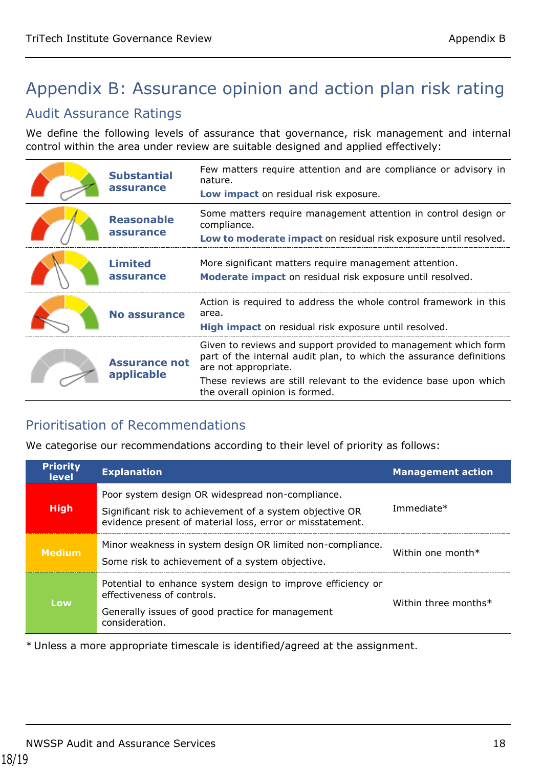# <span id="page-17-0"></span>Appendix B: Assurance opinion and action plan risk rating

## Audit Assurance Ratings

We define the following levels of assurance that governance, risk management and internal control within the area under review are suitable designed and applied effectively:

| <b>Substantial</b><br>assurance    | Few matters require attention and are compliance or advisory in<br>nature.<br>Low impact on residual risk exposure.                                                                                                                                                 |
|------------------------------------|---------------------------------------------------------------------------------------------------------------------------------------------------------------------------------------------------------------------------------------------------------------------|
| <b>Reasonable</b><br>assurance     | Some matters require management attention in control design or<br>compliance.<br>Low to moderate impact on residual risk exposure until resolved.                                                                                                                   |
| <b>Limited</b><br>assurance        | More significant matters require management attention.<br>Moderate impact on residual risk exposure until resolved.                                                                                                                                                 |
| <b>No assurance</b>                | Action is required to address the whole control framework in this<br>area.<br>High impact on residual risk exposure until resolved.                                                                                                                                 |
| <b>Assurance not</b><br>applicable | Given to reviews and support provided to management which form<br>part of the internal audit plan, to which the assurance definitions<br>are not appropriate.<br>These reviews are still relevant to the evidence base upon which<br>the overall opinion is formed. |

## Prioritisation of Recommendations

We categorise our recommendations according to their level of priority as follows:

| <b>Priority</b><br><b>level</b> | <b>Explanation</b>                                                                                                                                                        | <b>Management action</b> |
|---------------------------------|---------------------------------------------------------------------------------------------------------------------------------------------------------------------------|--------------------------|
| <b>High</b>                     | Poor system design OR widespread non-compliance.<br>Significant risk to achievement of a system objective OR<br>evidence present of material loss, error or misstatement. | Immediate*               |
| <b>Medium</b>                   | Minor weakness in system design OR limited non-compliance.<br>Some risk to achievement of a system objective.                                                             | Within one month $*$     |
| Low                             | Potential to enhance system design to improve efficiency or<br>effectiveness of controls.<br>Generally issues of good practice for management<br>consideration.           | Within three months*     |

\* Unless a more appropriate timescale is identified/agreed at the assignment.